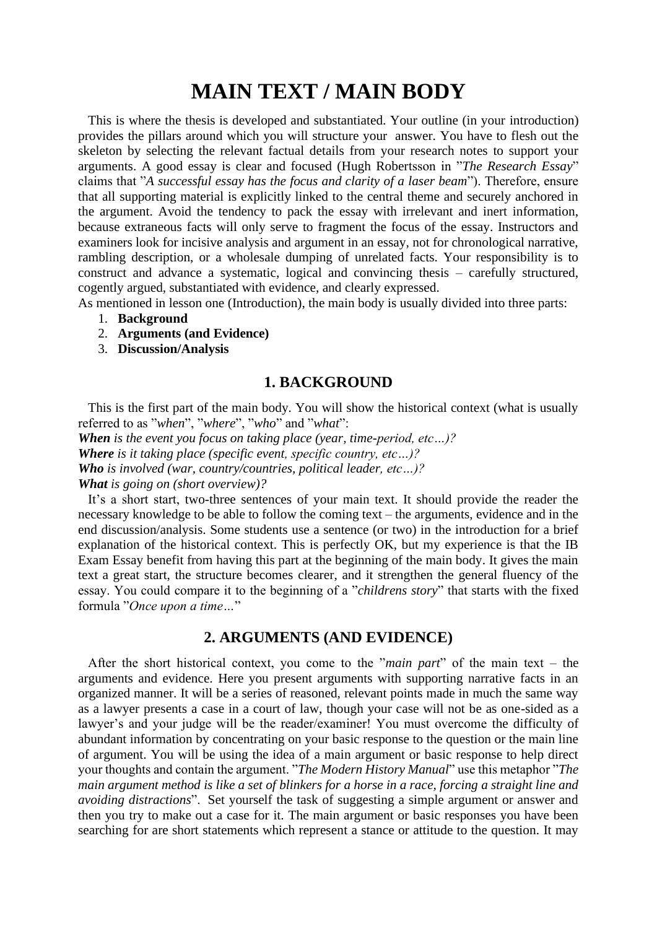## **MAIN TEXT / MAIN BODY**

 This is where the thesis is developed and substantiated. Your outline (in your introduction) provides the pillars around which you will structure your answer. You have to flesh out the skeleton by selecting the relevant factual details from your research notes to support your arguments. A good essay is clear and focused (Hugh Robertsson in "*The Research Essay*" claims that "*A successful essay has the focus and clarity of a laser beam*"). Therefore, ensure that all supporting material is explicitly linked to the central theme and securely anchored in the argument. Avoid the tendency to pack the essay with irrelevant and inert information, because extraneous facts will only serve to fragment the focus of the essay. Instructors and examiners look for incisive analysis and argument in an essay, not for chronological narrative, rambling description, or a wholesale dumping of unrelated facts. Your responsibility is to construct and advance a systematic, logical and convincing thesis – carefully structured, cogently argued, substantiated with evidence, and clearly expressed.

As mentioned in lesson one (Introduction), the main body is usually divided into three parts:

- 1. **Background**
- 2. **Arguments (and Evidence)**
- 3. **Discussion/Analysis**

## **1. BACKGROUND**

 This is the first part of the main body. You will show the historical context (what is usually referred to as "*when*", "*where*", "*who*" and "*what*":

*When is the event you focus on taking place (year, time-period, etc…)? Where is it taking place (specific event, specific country, etc…)?*

*Who is involved (war, country/countries, political leader, etc…)?*

*What is going on (short overview)?*

 It's a short start, two-three sentences of your main text. It should provide the reader the necessary knowledge to be able to follow the coming text – the arguments, evidence and in the end discussion/analysis. Some students use a sentence (or two) in the introduction for a brief explanation of the historical context. This is perfectly OK, but my experience is that the IB Exam Essay benefit from having this part at the beginning of the main body. It gives the main text a great start, the structure becomes clearer, and it strengthen the general fluency of the essay. You could compare it to the beginning of a "*childrens story*" that starts with the fixed formula "*Once upon a time…*"

## **2. ARGUMENTS (AND EVIDENCE)**

 After the short historical context, you come to the "*main part*" of the main text – the arguments and evidence. Here you present arguments with supporting narrative facts in an organized manner. It will be a series of reasoned, relevant points made in much the same way as a lawyer presents a case in a court of law, though your case will not be as one-sided as a lawyer's and your judge will be the reader/examiner! You must overcome the difficulty of abundant information by concentrating on your basic response to the question or the main line of argument. You will be using the idea of a main argument or basic response to help direct your thoughts and contain the argument. "*The Modern History Manual*" use this metaphor "*The main argument method is like a set of blinkers for a horse in a race, forcing a straight line and avoiding distractions*". Set yourself the task of suggesting a simple argument or answer and then you try to make out a case for it. The main argument or basic responses you have been searching for are short statements which represent a stance or attitude to the question. It may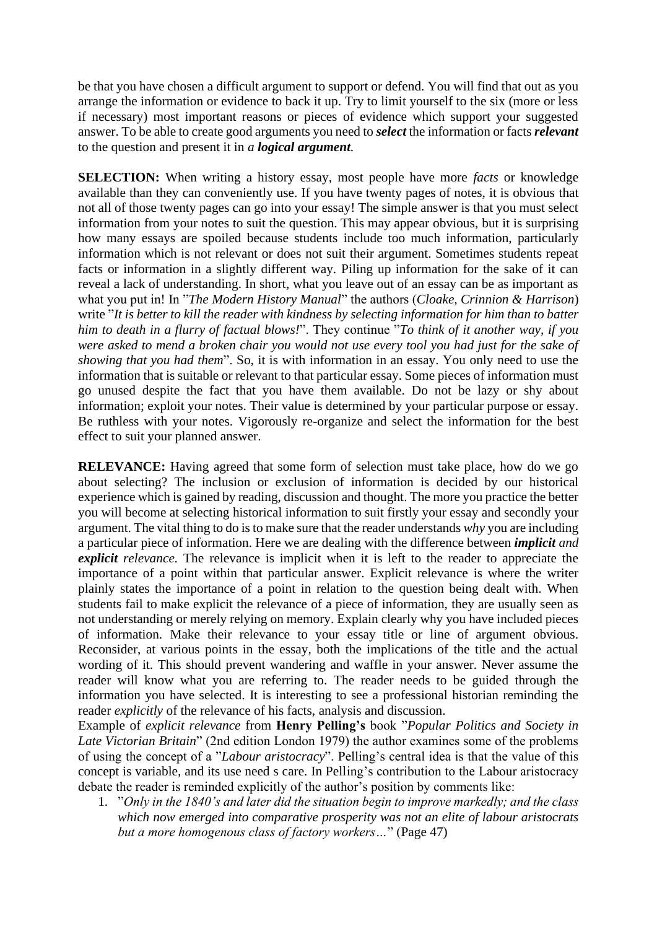be that you have chosen a difficult argument to support or defend. You will find that out as you arrange the information or evidence to back it up. Try to limit yourself to the six (more or less if necessary) most important reasons or pieces of evidence which support your suggested answer. To be able to create good arguments you need to *select* the information or facts *relevant* to the question and present it in *a logical argument.*

**SELECTION:** When writing a history essay, most people have more *facts* or knowledge available than they can conveniently use. If you have twenty pages of notes, it is obvious that not all of those twenty pages can go into your essay! The simple answer is that you must select information from your notes to suit the question. This may appear obvious, but it is surprising how many essays are spoiled because students include too much information, particularly information which is not relevant or does not suit their argument. Sometimes students repeat facts or information in a slightly different way. Piling up information for the sake of it can reveal a lack of understanding. In short, what you leave out of an essay can be as important as what you put in! In "*The Modern History Manual*" the authors (*Cloake, Crinnion & Harrison*) write "*It is better to kill the reader with kindness by selecting information for him than to batter him to death in a flurry of factual blows!*". They continue "*To think of it another way, if you were asked to mend a broken chair you would not use every tool you had just for the sake of showing that you had them*". So, it is with information in an essay. You only need to use the information that is suitable or relevant to that particular essay. Some pieces of information must go unused despite the fact that you have them available. Do not be lazy or shy about information; exploit your notes. Their value is determined by your particular purpose or essay. Be ruthless with your notes. Vigorously re-organize and select the information for the best effect to suit your planned answer.

**RELEVANCE:** Having agreed that some form of selection must take place, how do we go about selecting? The inclusion or exclusion of information is decided by our historical experience which is gained by reading, discussion and thought. The more you practice the better you will become at selecting historical information to suit firstly your essay and secondly your argument. The vital thing to do is to make sure that the reader understands *why* you are including a particular piece of information. Here we are dealing with the difference between *implicit and explicit relevance.* The relevance is implicit when it is left to the reader to appreciate the importance of a point within that particular answer. Explicit relevance is where the writer plainly states the importance of a point in relation to the question being dealt with. When students fail to make explicit the relevance of a piece of information, they are usually seen as not understanding or merely relying on memory. Explain clearly why you have included pieces of information. Make their relevance to your essay title or line of argument obvious. Reconsider, at various points in the essay, both the implications of the title and the actual wording of it. This should prevent wandering and waffle in your answer. Never assume the reader will know what you are referring to. The reader needs to be guided through the information you have selected. It is interesting to see a professional historian reminding the reader *explicitly* of the relevance of his facts, analysis and discussion.

Example of *explicit relevance* from **Henry Pelling's** book "*Popular Politics and Society in Late Victorian Britain*" (2nd edition London 1979) the author examines some of the problems of using the concept of a "*Labour aristocracy*". Pelling's central idea is that the value of this concept is variable, and its use need s care. In Pelling's contribution to the Labour aristocracy debate the reader is reminded explicitly of the author's position by comments like:

1. "*Only in the 1840's and later did the situation begin to improve markedly; and the class which now emerged into comparative prosperity was not an elite of labour aristocrats but a more homogenous class of factory workers…*" (Page 47)